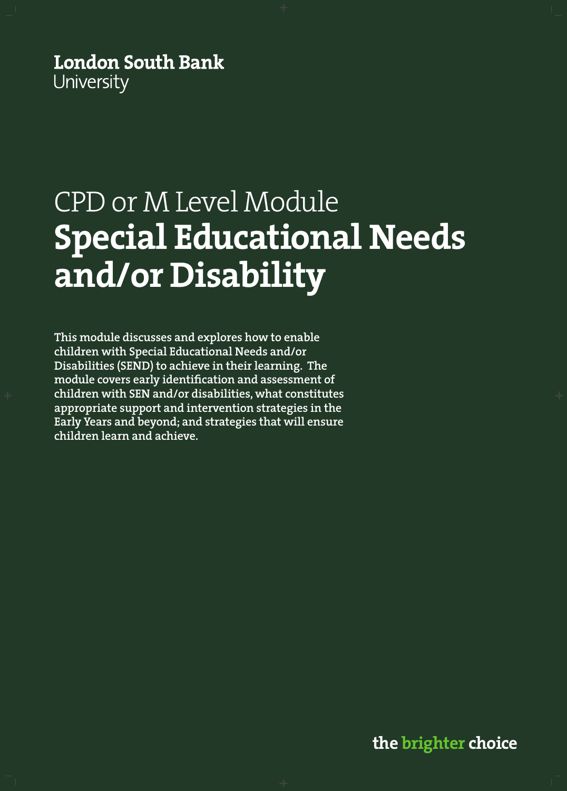**London South Bank** University

# CPD or M Level Module **Special Educational Needs and/or Disability**

**This module discusses and explores how to enable children with Special Educational Needs and/or Disabilities (SEND) to achieve in their learning. The module covers early identification and assessment of children with SEN and/or disabilities, what constitutes appropriate support and intervention strategies in the Early Years and beyond; and strategies that will ensure children learn and achieve.**

**the brighter choice**